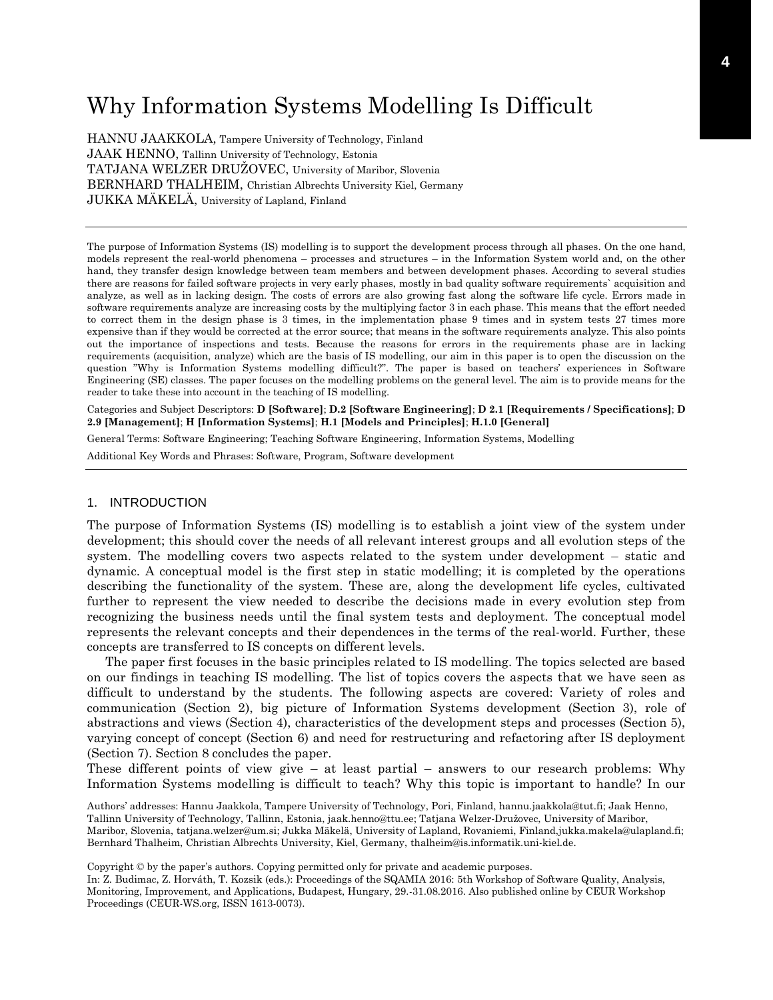# Why Information Systems Modelling Is Difficult

HANNU JAAKKOLA, Tampere University of Technology, Finland JAAK HENNO, Tallinn University of Technology, Estonia TATJANA WELZER DRUŽOVEC, University of Maribor, Slovenia BERNHARD THALHEIM, Christian Albrechts University Kiel, Germany JUKKA MÄKELÄ, University of Lapland, Finland

The purpose of Information Systems (IS) modelling is to support the development process through all phases. On the one hand, models represent the real-world phenomena – processes and structures – in the Information System world and, on the other hand, they transfer design knowledge between team members and between development phases. According to several studies there are reasons for failed software projects in very early phases, mostly in bad quality software requirements` acquisition and analyze, as well as in lacking design. The costs of errors are also growing fast along the software life cycle. Errors made in software requirements analyze are increasing costs by the multiplying factor 3 in each phase. This means that the effort needed to correct them in the design phase is 3 times, in the implementation phase 9 times and in system tests 27 times more expensive than if they would be corrected at the error source; that means in the software requirements analyze. This also points out the importance of inspections and tests. Because the reasons for errors in the requirements phase are in lacking requirements (acquisition, analyze) which are the basis of IS modelling, our aim in this paper is to open the discussion on the question "Why is Information Systems modelling difficult?". The paper is based on teachers' experiences in Software Engineering (SE) classes. The paper focuses on the modelling problems on the general level. The aim is to provide means for the reader to take these into account in the teaching of IS modelling.

Categories and Subject Descriptors: **D [Software]**; **D.2 [Software Engineering]**; **D 2.1 [Requirements / Specifications]**; **D 2.9 [Management]**; **H [Information Systems]**; **H.1 [Models and Principles]**; **H.1.0 [General]**

General Terms: Software Engineering; Teaching Software Engineering, Information Systems, Modelling

Additional Key Words and Phrases: Software, Program, Software development

### 1. INTRODUCTION

The purpose of Information Systems (IS) modelling is to establish a joint view of the system under development; this should cover the needs of all relevant interest groups and all evolution steps of the system. The modelling covers two aspects related to the system under development – static and dynamic. A conceptual model is the first step in static modelling; it is completed by the operations describing the functionality of the system. These are, along the development life cycles, cultivated further to represent the view needed to describe the decisions made in every evolution step from recognizing the business needs until the final system tests and deployment. The conceptual model represents the relevant concepts and their dependences in the terms of the real-world. Further, these concepts are transferred to IS concepts on different levels.

The paper first focuses in the basic principles related to IS modelling. The topics selected are based on our findings in teaching IS modelling. The list of topics covers the aspects that we have seen as difficult to understand by the students. The following aspects are covered: Variety of roles and communication (Section 2), big picture of Information Systems development (Section 3), role of abstractions and views (Section 4), characteristics of the development steps and processes (Section 5), varying concept of concept (Section 6) and need for restructuring and refactoring after IS deployment (Section 7). Section 8 concludes the paper.

These different points of view give – at least partial – answers to our research problems: Why Information Systems modelling is difficult to teach? Why this topic is important to handle? In our

Authors' addresses: Hannu Jaakkola, Tampere University of Technology, Pori, Finland, hannu.jaakkola@tut.fi; Jaak Henno, Tallinn University of Technology, Tallinn, Estonia, jaak.henno@ttu.ee; Tatjana Welzer-Družovec, University of Maribor, Maribor, Slovenia, tatjana.welzer@um.si; Jukka Mäkelä, University of Lapland, Rovaniemi, Finland,jukka.makela@ulapland.fi; Bernhard Thalheim, Christian Albrechts University, Kiel, Germany, thalheim@is.informatik.uni-kiel.de.

Copyright © by the paper's authors. Copying permitted only for private and academic purposes.

In: Z. Budimac, Z. Horváth, T. Kozsik (eds.): Proceedings of the SQAMIA 2016: 5th Workshop of Software Quality, Analysis, Monitoring, Improvement, and Applications, Budapest, Hungary, 29.-31.08.2016. Also published online by CEUR Workshop Proceedings (CEUR-WS.org, ISSN 1613-0073).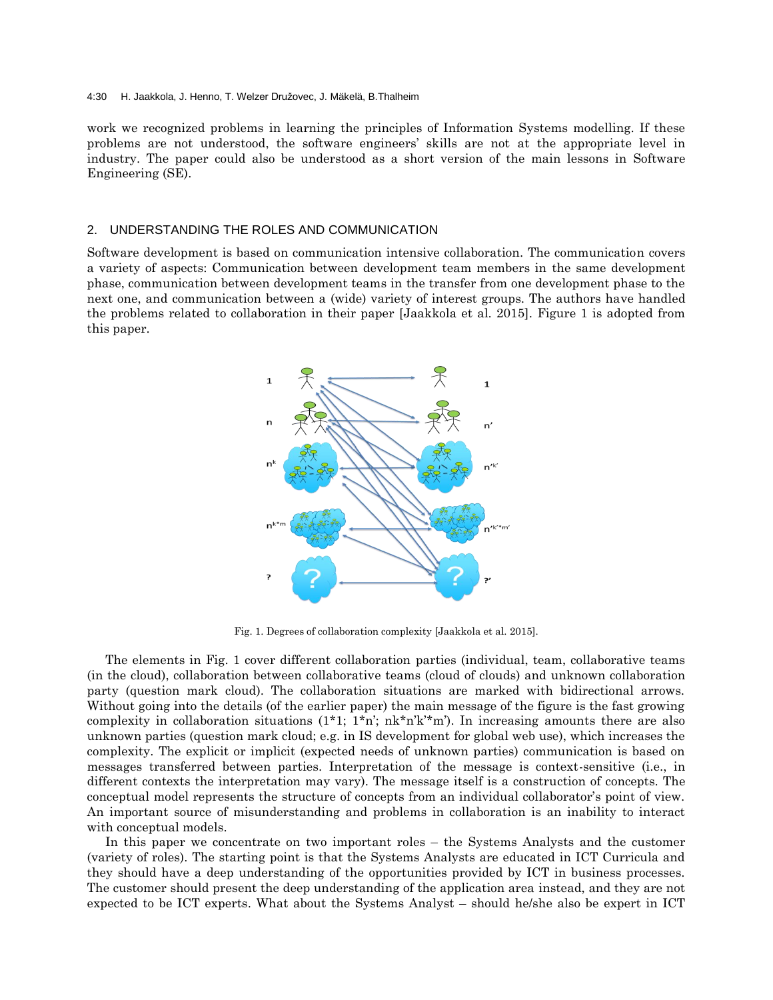work we recognized problems in learning the principles of Information Systems modelling. If these problems are not understood, the software engineers' skills are not at the appropriate level in industry. The paper could also be understood as a short version of the main lessons in Software Engineering (SE).

# 2. UNDERSTANDING THE ROLES AND COMMUNICATION

Software development is based on communication intensive collaboration. The communication covers a variety of aspects: Communication between development team members in the same development phase, communication between development teams in the transfer from one development phase to the next one, and communication between a (wide) variety of interest groups. The authors have handled the problems related to collaboration in their paper [Jaakkola et al. 2015]. Figure 1 is adopted from this paper.



Fig. 1. Degrees of collaboration complexity [Jaakkola et al. 2015].

The elements in Fig. 1 cover different collaboration parties (individual, team, collaborative teams (in the cloud), collaboration between collaborative teams (cloud of clouds) and unknown collaboration party (question mark cloud). The collaboration situations are marked with bidirectional arrows. Without going into the details (of the earlier paper) the main message of the figure is the fast growing complexity in collaboration situations  $(1^*1; 1^*n; nk^*n'k'^*m')$ . In increasing amounts there are also unknown parties (question mark cloud; e.g. in IS development for global web use), which increases the complexity. The explicit or implicit (expected needs of unknown parties) communication is based on messages transferred between parties. Interpretation of the message is context-sensitive (i.e., in different contexts the interpretation may vary). The message itself is a construction of concepts. The conceptual model represents the structure of concepts from an individual collaborator's point of view. An important source of misunderstanding and problems in collaboration is an inability to interact with conceptual models.

In this paper we concentrate on two important roles – the Systems Analysts and the customer (variety of roles). The starting point is that the Systems Analysts are educated in ICT Curricula and they should have a deep understanding of the opportunities provided by ICT in business processes. The customer should present the deep understanding of the application area instead, and they are not expected to be ICT experts. What about the Systems Analyst – should he/she also be expert in ICT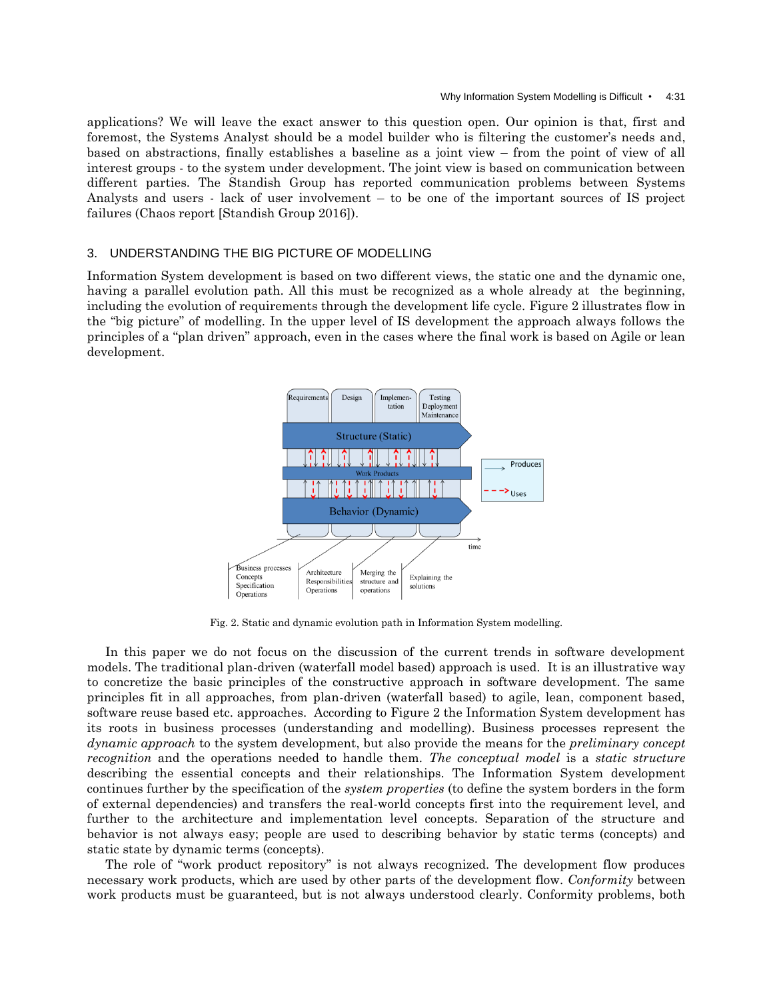applications? We will leave the exact answer to this question open. Our opinion is that, first and foremost, the Systems Analyst should be a model builder who is filtering the customer's needs and, based on abstractions, finally establishes a baseline as a joint view – from the point of view of all interest groups - to the system under development. The joint view is based on communication between different parties. The Standish Group has reported communication problems between Systems Analysts and users - lack of user involvement – to be one of the important sources of IS project failures (Chaos report [Standish Group 2016]).

## 3. UNDERSTANDING THE BIG PICTURE OF MODELLING

Information System development is based on two different views, the static one and the dynamic one, having a parallel evolution path. All this must be recognized as a whole already at the beginning, including the evolution of requirements through the development life cycle. Figure 2 illustrates flow in the "big picture" of modelling. In the upper level of IS development the approach always follows the principles of a "plan driven" approach, even in the cases where the final work is based on Agile or lean development.



Fig. 2. Static and dynamic evolution path in Information System modelling.

In this paper we do not focus on the discussion of the current trends in software development models. The traditional plan-driven (waterfall model based) approach is used. It is an illustrative way to concretize the basic principles of the constructive approach in software development. The same principles fit in all approaches, from plan-driven (waterfall based) to agile, lean, component based, software reuse based etc. approaches. According to Figure 2 the Information System development has its roots in business processes (understanding and modelling). Business processes represent the *dynamic approach* to the system development, but also provide the means for the *preliminary concept recognition* and the operations needed to handle them. *The conceptual model* is a *static structure* describing the essential concepts and their relationships. The Information System development continues further by the specification of the *system properties* (to define the system borders in the form of external dependencies) and transfers the real-world concepts first into the requirement level, and further to the architecture and implementation level concepts. Separation of the structure and behavior is not always easy; people are used to describing behavior by static terms (concepts) and static state by dynamic terms (concepts).

The role of "work product repository" is not always recognized. The development flow produces necessary work products, which are used by other parts of the development flow. *Conformity* between work products must be guaranteed, but is not always understood clearly. Conformity problems, both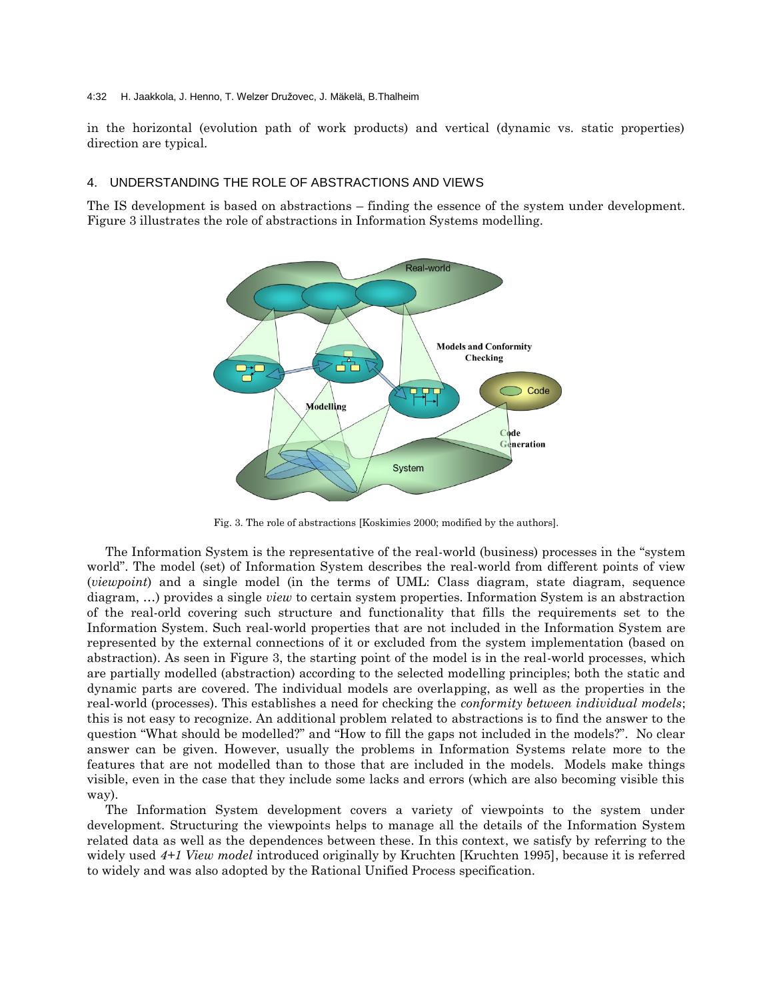#### 4:32 H. Jaakkola, J. Henno, T. Welzer Družovec, J. Mäkelä, B.Thalheim

in the horizontal (evolution path of work products) and vertical (dynamic vs. static properties) direction are typical.

# 4. UNDERSTANDING THE ROLE OF ABSTRACTIONS AND VIEWS

The IS development is based on abstractions – finding the essence of the system under development. Figure 3 illustrates the role of abstractions in Information Systems modelling.



Fig. 3. The role of abstractions [Koskimies 2000; modified by the authors].

The Information System is the representative of the real-world (business) processes in the "system world". The model (set) of Information System describes the real-world from different points of view (*viewpoint*) and a single model (in the terms of UML: Class diagram, state diagram, sequence diagram, …) provides a single *view* to certain system properties. Information System is an abstraction of the real-orld covering such structure and functionality that fills the requirements set to the Information System. Such real-world properties that are not included in the Information System are represented by the external connections of it or excluded from the system implementation (based on abstraction). As seen in Figure 3, the starting point of the model is in the real-world processes, which are partially modelled (abstraction) according to the selected modelling principles; both the static and dynamic parts are covered. The individual models are overlapping, as well as the properties in the real-world (processes). This establishes a need for checking the *conformity between individual models*; this is not easy to recognize. An additional problem related to abstractions is to find the answer to the question "What should be modelled?" and "How to fill the gaps not included in the models?". No clear answer can be given. However, usually the problems in Information Systems relate more to the features that are not modelled than to those that are included in the models. Models make things visible, even in the case that they include some lacks and errors (which are also becoming visible this way).

The Information System development covers a variety of viewpoints to the system under development. Structuring the viewpoints helps to manage all the details of the Information System related data as well as the dependences between these. In this context, we satisfy by referring to the widely used *4+1 View model* introduced originally by Kruchten [Kruchten 1995], because it is referred to widely and was also adopted by the Rational Unified Process specification.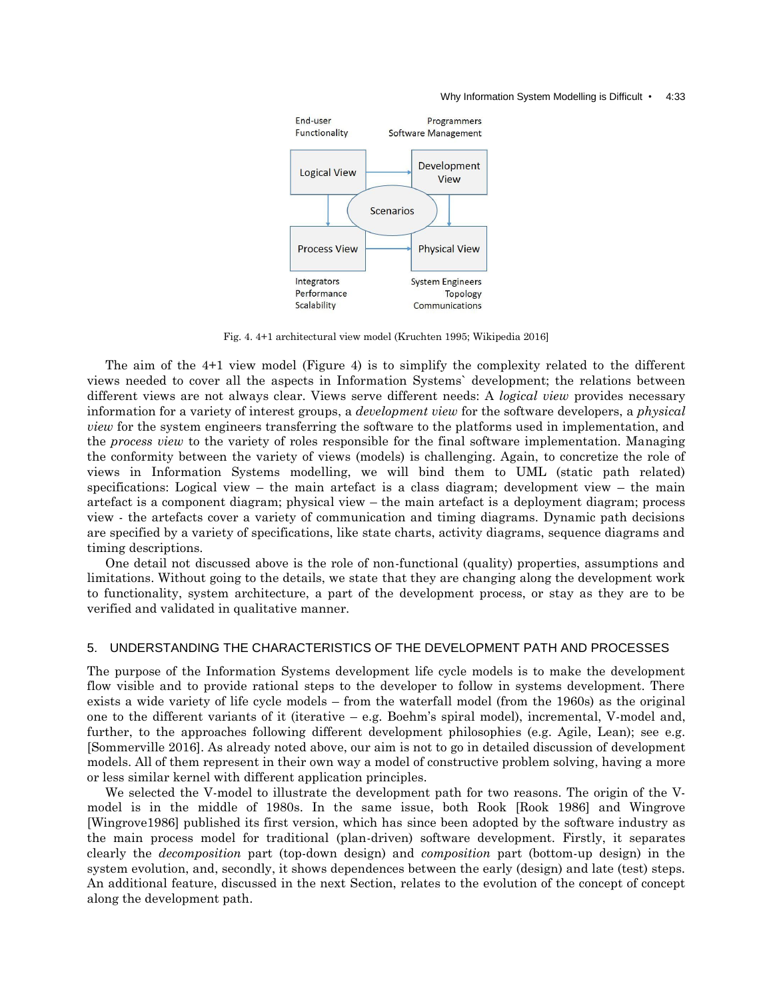#### Why Information System Modelling is Difficult • 4:33



Fig. 4. 4+1 architectural view model (Kruchten 1995; Wikipedia 2016]

The aim of the 4+1 view model (Figure 4) is to simplify the complexity related to the different views needed to cover all the aspects in Information Systems` development; the relations between different views are not always clear. Views serve different needs: A *logical view* provides necessary information for a variety of interest groups, a *development view* for the software developers, a *physical view* for the system engineers transferring the software to the platforms used in implementation, and the *process view* to the variety of roles responsible for the final software implementation. Managing the conformity between the variety of views (models) is challenging. Again, to concretize the role of views in Information Systems modelling, we will bind them to UML (static path related) specifications: Logical view – the main artefact is a class diagram; development view – the main artefact is a component diagram; physical view – the main artefact is a deployment diagram; process view - the artefacts cover a variety of communication and timing diagrams. Dynamic path decisions are specified by a variety of specifications, like state charts, activity diagrams, sequence diagrams and timing descriptions.

One detail not discussed above is the role of non-functional (quality) properties, assumptions and limitations. Without going to the details, we state that they are changing along the development work to functionality, system architecture, a part of the development process, or stay as they are to be verified and validated in qualitative manner.

## 5. UNDERSTANDING THE CHARACTERISTICS OF THE DEVELOPMENT PATH AND PROCESSES

The purpose of the Information Systems development life cycle models is to make the development flow visible and to provide rational steps to the developer to follow in systems development. There exists a wide variety of life cycle models – from the waterfall model (from the 1960s) as the original one to the different variants of it (iterative – e.g. Boehm's spiral model), incremental, V-model and, further, to the approaches following different development philosophies (e.g. Agile, Lean); see e.g. [Sommerville 2016]. As already noted above, our aim is not to go in detailed discussion of development models. All of them represent in their own way a model of constructive problem solving, having a more or less similar kernel with different application principles.

We selected the V-model to illustrate the development path for two reasons. The origin of the Vmodel is in the middle of 1980s. In the same issue, both Rook [Rook 1986] and Wingrove [Wingrove1986] published its first version, which has since been adopted by the software industry as the main process model for traditional (plan-driven) software development. Firstly, it separates clearly the *decomposition* part (top-down design) and *composition* part (bottom-up design) in the system evolution, and, secondly, it shows dependences between the early (design) and late (test) steps. An additional feature, discussed in the next Section, relates to the evolution of the concept of concept along the development path.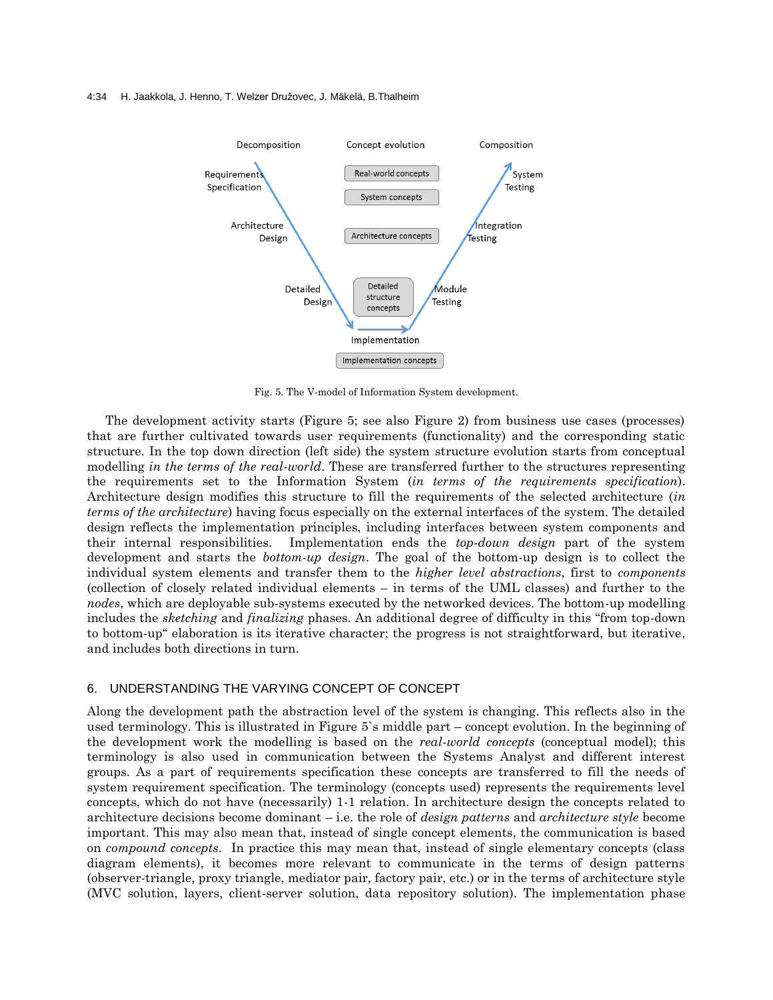#### 4:34 H. Jaakkola, J. Henno, T. Welzer Družovec, J. Mäkelä, B.Thalheim



Fig. 5. The V-model of Information System development.

The development activity starts (Figure 5; see also Figure 2) from business use cases (processes) that are further cultivated towards user requirements (functionality) and the corresponding static structure. In the top down direction (left side) the system structure evolution starts from conceptual modelling *in the terms of the real-world*. These are transferred further to the structures representing the requirements set to the Information System (*in terms of the requirements specification*). Architecture design modifies this structure to fill the requirements of the selected architecture (*in terms of the architecture*) having focus especially on the external interfaces of the system. The detailed design reflects the implementation principles, including interfaces between system components and their internal responsibilities. Implementation ends the *top-down design* part of the system development and starts the *bottom-up design*. The goal of the bottom-up design is to collect the individual system elements and transfer them to the *higher level abstractions*, first to *components* (collection of closely related individual elements – in terms of the UML classes) and further to the *nodes*, which are deployable sub-systems executed by the networked devices. The bottom-up modelling includes the *sketching* and *finalizing* phases. An additional degree of difficulty in this "from top-down to bottom-up" elaboration is its iterative character; the progress is not straightforward, but iterative, and includes both directions in turn.

# 6. UNDERSTANDING THE VARYING CONCEPT OF CONCEPT

Along the development path the abstraction level of the system is changing. This reflects also in the used terminology. This is illustrated in Figure 5`s middle part – concept evolution. In the beginning of the development work the modelling is based on the *real-world concepts* (conceptual model); this terminology is also used in communication between the Systems Analyst and different interest groups. As a part of requirements specification these concepts are transferred to fill the needs of system requirement specification. The terminology (concepts used) represents the requirements level concepts, which do not have (necessarily) 1-1 relation. In architecture design the concepts related to architecture decisions become dominant – i.e. the role of *design patterns* and *architecture style* become important. This may also mean that, instead of single concept elements, the communication is based on *compound concepts*. In practice this may mean that, instead of single elementary concepts (class diagram elements), it becomes more relevant to communicate in the terms of design patterns (observer-triangle, proxy triangle, mediator pair, factory pair, etc.) or in the terms of architecture style (MVC solution, layers, client-server solution, data repository solution). The implementation phase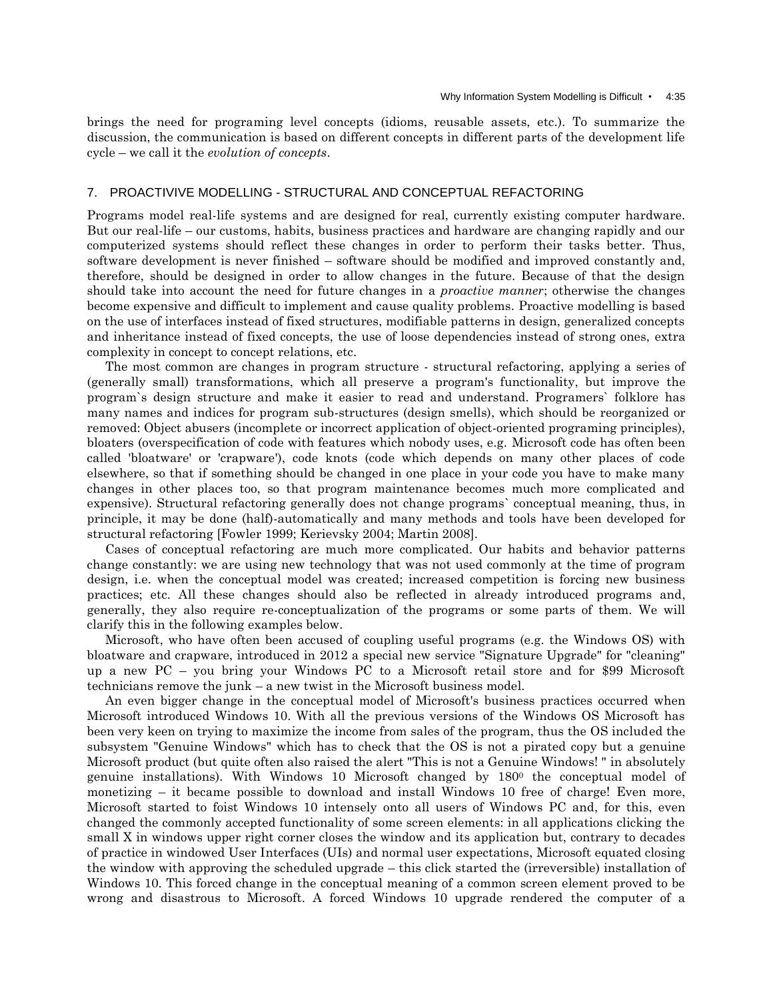brings the need for programing level concepts (idioms, reusable assets, etc.). To summarize the discussion, the communication is based on different concepts in different parts of the development life cycle – we call it the *evolution of concepts*.

### 7. PROACTIVIVE MODELLING - STRUCTURAL AND CONCEPTUAL REFACTORING

Programs model real-life systems and are designed for real, currently existing computer hardware. But our real-life – our customs, habits, business practices and hardware are changing rapidly and our computerized systems should reflect these changes in order to perform their tasks better. Thus, software development is never finished – software should be modified and improved constantly and, therefore, should be designed in order to allow changes in the future. Because of that the design should take into account the need for future changes in a *proactive manner*; otherwise the changes become expensive and difficult to implement and cause quality problems. Proactive modelling is based on the use of interfaces instead of fixed structures, modifiable patterns in design, generalized concepts and inheritance instead of fixed concepts, the use of loose dependencies instead of strong ones, extra complexity in concept to concept relations, etc.

The most common are changes in program structure - structural refactoring, applying a series of (generally small) transformations, which all preserve a program's functionality, but improve the program`s design structure and make it easier to read and understand. Programers` folklore has many names and indices for program sub-structures (design smells), which should be reorganized or removed: Object abusers (incomplete or incorrect application of object-oriented programing principles), bloaters (overspecification of code with features which nobody uses, e.g. Microsoft code has often been called 'bloatware' or 'crapware'), code knots (code which depends on many other places of code elsewhere, so that if something should be changed in one place in your code you have to make many changes in other places too, so that program maintenance becomes much more complicated and expensive). Structural refactoring generally does not change programs` conceptual meaning, thus, in principle, it may be done (half)-automatically and many methods and tools have been developed for structural refactoring [Fowler 1999; Kerievsky 2004; Martin 2008].

Cases of conceptual refactoring are much more complicated. Our habits and behavior patterns change constantly: we are using new technology that was not used commonly at the time of program design, i.e. when the conceptual model was created; increased competition is forcing new business practices; etc. All these changes should also be reflected in already introduced programs and, generally, they also require re-conceptualization of the programs or some parts of them. We will clarify this in the following examples below.

Microsoft, who have often been accused of coupling useful programs (e.g. the Windows OS) with bloatware and crapware, introduced in 2012 a special new service "Signature Upgrade" for "cleaning" up a new PC – you bring your Windows PC to a Microsoft retail store and for \$99 Microsoft technicians remove the junk – a new twist in the Microsoft business model.

An even bigger change in the conceptual model of Microsoft's business practices occurred when Microsoft introduced Windows 10. With all the previous versions of the Windows OS Microsoft has been very keen on trying to maximize the income from sales of the program, thus the OS included the subsystem "Genuine Windows" which has to check that the OS is not a pirated copy but a genuine Microsoft product (but quite often also raised the alert "This is not a Genuine Windows! " in absolutely genuine installations). With Windows 10 Microsoft changed by 180<sup>0</sup> the conceptual model of monetizing – it became possible to download and install Windows 10 free of charge! Even more, Microsoft started to foist Windows 10 intensely onto all users of Windows PC and, for this, even changed the commonly accepted functionality of some screen elements: in all applications clicking the small X in windows upper right corner closes the window and its application but, contrary to decades of practice in windowed User Interfaces (UIs) and normal user expectations, Microsoft equated closing the window with approving the scheduled upgrade – this click started the (irreversible) installation of Windows 10. This forced change in the conceptual meaning of a common screen element proved to be wrong and disastrous to Microsoft. A forced Windows 10 upgrade rendered the computer of a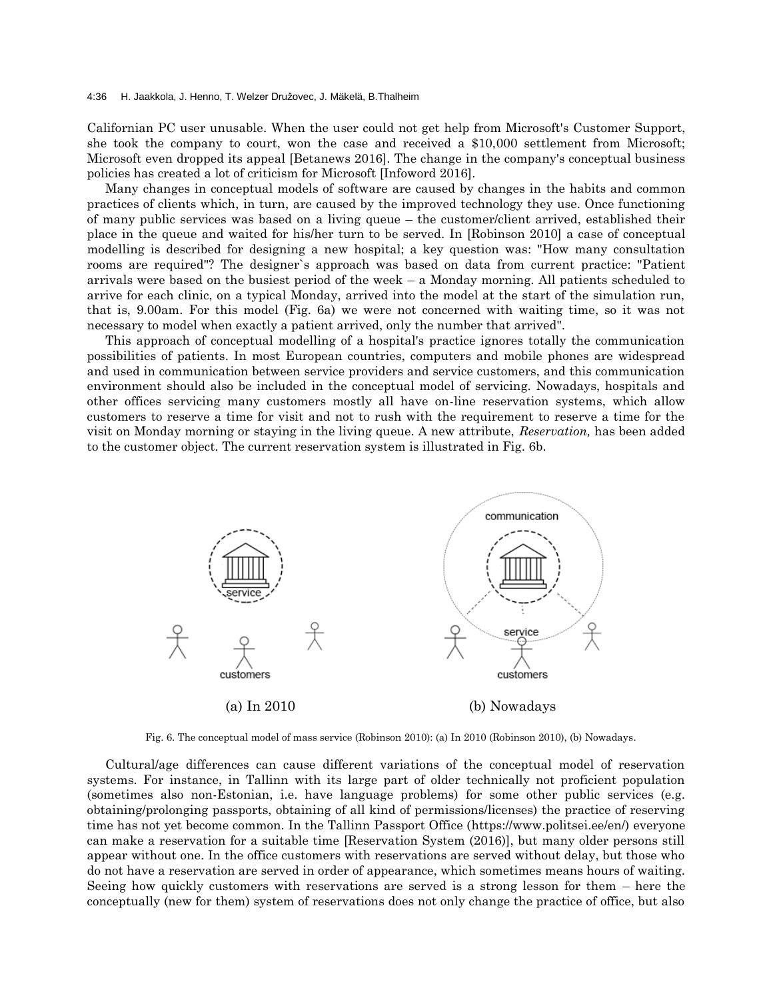Californian PC user unusable. When the user could not get help from Microsoft's Customer Support, she took the company to court, won the case and received a \$10,000 settlement from Microsoft; Microsoft even dropped its appeal [Betanews 2016]. The change in the company's conceptual business policies has created a lot of criticism for Microsoft [Infoword 2016].

Many changes in conceptual models of software are caused by changes in the habits and common practices of clients which, in turn, are caused by the improved technology they use. Once functioning of many public services was based on a living queue – the customer/client arrived, established their place in the queue and waited for his/her turn to be served. In [Robinson 2010] a case of conceptual modelling is described for designing a new hospital; a key question was: "How many consultation rooms are required"? The designer`s approach was based on data from current practice: "Patient arrivals were based on the busiest period of the week – a Monday morning. All patients scheduled to arrive for each clinic, on a typical Monday, arrived into the model at the start of the simulation run, that is, 9.00am. For this model (Fig. 6a) we were not concerned with waiting time, so it was not necessary to model when exactly a patient arrived, only the number that arrived".

This approach of conceptual modelling of a hospital's practice ignores totally the communication possibilities of patients. In most European countries, computers and mobile phones are widespread and used in communication between service providers and service customers, and this communication environment should also be included in the conceptual model of servicing. Nowadays, hospitals and other offices servicing many customers mostly all have on-line reservation systems, which allow customers to reserve a time for visit and not to rush with the requirement to reserve a time for the visit on Monday morning or staying in the living queue. A new attribute, *Reservation,* has been added to the customer object*.* The current reservation system is illustrated in Fig. 6b.



Fig. 6. The conceptual model of mass service (Robinson 2010): (a) In 2010 (Robinson 2010), (b) Nowadays.

Cultural/age differences can cause different variations of the conceptual model of reservation systems. For instance, in Tallinn with its large part of older technically not proficient population (sometimes also non-Estonian, i.e. have language problems) for some other public services (e.g. obtaining/prolonging passports, obtaining of all kind of permissions/licenses) the practice of reserving time has not yet become common. In the Tallinn Passport Office (https://www.politsei.ee/en/) everyone can make a reservation for a suitable time [Reservation System (2016)], but many older persons still appear without one. In the office customers with reservations are served without delay, but those who do not have a reservation are served in order of appearance, which sometimes means hours of waiting. Seeing how quickly customers with reservations are served is a strong lesson for them – here the conceptually (new for them) system of reservations does not only change the practice of office, but also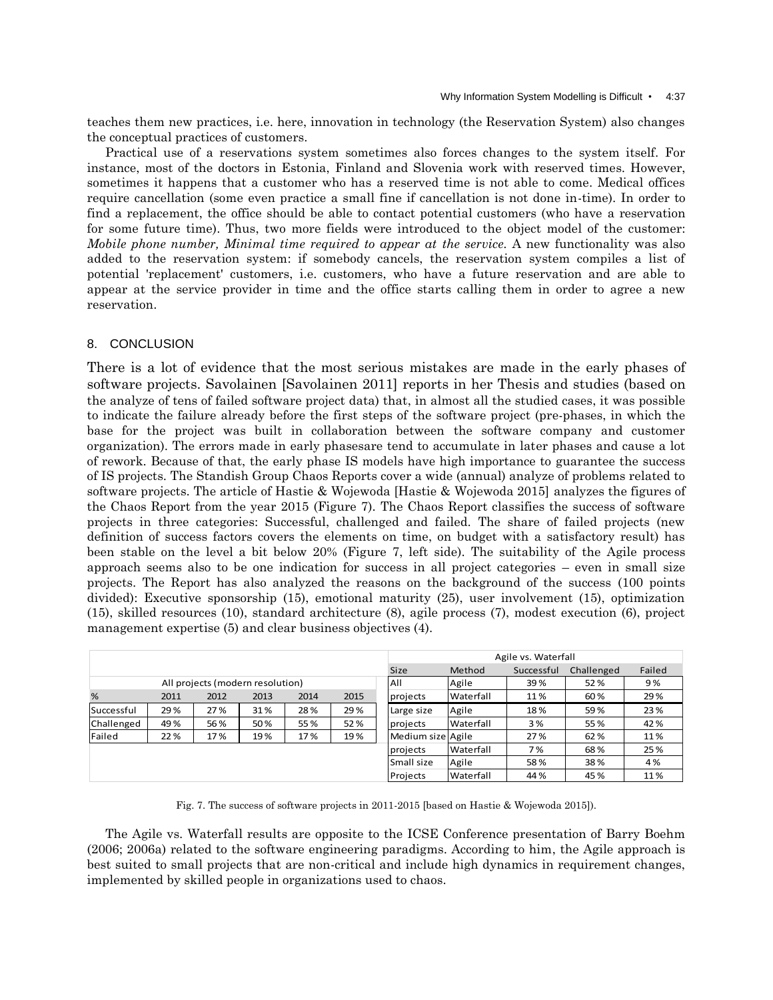teaches them new practices, i.e. here, innovation in technology (the Reservation System) also changes the conceptual practices of customers.

Practical use of a reservations system sometimes also forces changes to the system itself. For instance, most of the doctors in Estonia, Finland and Slovenia work with reserved times. However, sometimes it happens that a customer who has a reserved time is not able to come. Medical offices require cancellation (some even practice a small fine if cancellation is not done in-time). In order to find a replacement, the office should be able to contact potential customers (who have a reservation for some future time). Thus, two more fields were introduced to the object model of the customer: *Mobile phone number, Minimal time required to appear at the service.* A new functionality was also added to the reservation system: if somebody cancels, the reservation system compiles a list of potential 'replacement' customers, i.e. customers, who have a future reservation and are able to appear at the service provider in time and the office starts calling them in order to agree a new reservation.

## 8. CONCLUSION

There is a lot of evidence that the most serious mistakes are made in the early phases of software projects. Savolainen [Savolainen 2011] reports in her Thesis and studies (based on the analyze of tens of failed software project data) that, in almost all the studied cases, it was possible to indicate the failure already before the first steps of the software project (pre-phases, in which the base for the project was built in collaboration between the software company and customer organization). The errors made in early phasesare tend to accumulate in later phases and cause a lot of rework. Because of that, the early phase IS models have high importance to guarantee the success of IS projects. The Standish Group Chaos Reports cover a wide (annual) analyze of problems related to software projects. The article of Hastie & Wojewoda [Hastie & Wojewoda 2015] analyzes the figures of the Chaos Report from the year 2015 (Figure 7). The Chaos Report classifies the success of software projects in three categories: Successful, challenged and failed. The share of failed projects (new definition of success factors covers the elements on time, on budget with a satisfactory result) has been stable on the level a bit below 20% (Figure 7, left side). The suitability of the Agile process approach seems also to be one indication for success in all project categories – even in small size projects. The Report has also analyzed the reasons on the background of the success (100 points divided): Executive sponsorship (15), emotional maturity (25), user involvement (15), optimization (15), skilled resources (10), standard architecture (8), agile process (7), modest execution (6), project management expertise (5) and clear business objectives (4).

|                                  |      |      |      |      |      |                   | Agile vs. Waterfall |            |            |        |  |
|----------------------------------|------|------|------|------|------|-------------------|---------------------|------------|------------|--------|--|
|                                  |      |      |      |      |      | Size              | Method              | Successful | Challenged | Failed |  |
| All projects (modern resolution) |      |      |      |      |      | All               | Agile               | 39%        | 52%        | 9%     |  |
| %                                | 2011 | 2012 | 2013 | 2014 | 2015 | projects          | Waterfall           | 11%        | 60%        | 29%    |  |
| Successful                       | 29 % | 27%  | 31%  | 28%  | 29 % | Large size        | Agile               | 18%        | 59%        | 23%    |  |
| Challenged                       | 49%  | 56%  | 50%  | 55%  | 52%  | projects          | Waterfall           | 3%         | 55%        | 42%    |  |
| Failed                           | 22 % | 17%  | 19%  | 17%  | 19%  | Medium size Agile |                     | 27%        | 62%        | 11%    |  |
|                                  |      |      |      |      |      | projects          | Waterfall           | 7%         | 68%        | 25 %   |  |
|                                  |      |      |      |      |      | Small size        | Agile               | 58%        | 38%        | 4%     |  |
|                                  |      |      |      |      |      | Projects          | Waterfall           | 44 %       | 45%        | 11%    |  |

Fig. 7. The success of software projects in 2011-2015 [based on Hastie & Wojewoda 2015]).

The Agile vs. Waterfall results are opposite to the ICSE Conference presentation of Barry Boehm (2006; 2006a) related to the software engineering paradigms. According to him, the Agile approach is best suited to small projects that are non-critical and include high dynamics in requirement changes, implemented by skilled people in organizations used to chaos.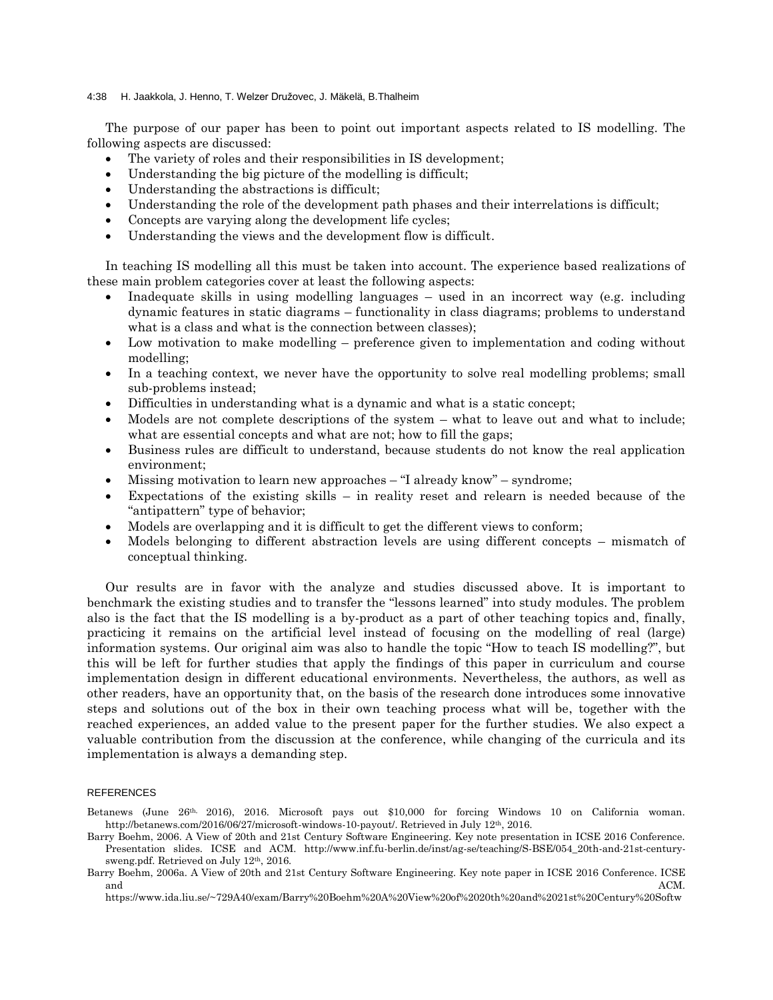#### 4:38 H. Jaakkola, J. Henno, T. Welzer Družovec, J. Mäkelä, B.Thalheim

The purpose of our paper has been to point out important aspects related to IS modelling. The following aspects are discussed:

- The variety of roles and their responsibilities in IS development;
- Understanding the big picture of the modelling is difficult;
- Understanding the abstractions is difficult;
- Understanding the role of the development path phases and their interrelations is difficult;
- Concepts are varying along the development life cycles;
- Understanding the views and the development flow is difficult.

In teaching IS modelling all this must be taken into account. The experience based realizations of these main problem categories cover at least the following aspects:

- Inadequate skills in using modelling languages used in an incorrect way (e.g. including dynamic features in static diagrams – functionality in class diagrams; problems to understand what is a class and what is the connection between classes);
- Low motivation to make modelling preference given to implementation and coding without modelling;
- In a teaching context, we never have the opportunity to solve real modelling problems; small sub-problems instead;
- Difficulties in understanding what is a dynamic and what is a static concept;
- Models are not complete descriptions of the system what to leave out and what to include; what are essential concepts and what are not; how to fill the gaps;
- Business rules are difficult to understand, because students do not know the real application environment;
- Missing motivation to learn new approaches "I already know" syndrome;
- Expectations of the existing skills in reality reset and relearn is needed because of the "antipattern" type of behavior;
- Models are overlapping and it is difficult to get the different views to conform;
- Models belonging to different abstraction levels are using different concepts mismatch of conceptual thinking.

Our results are in favor with the analyze and studies discussed above. It is important to benchmark the existing studies and to transfer the "lessons learned" into study modules. The problem also is the fact that the IS modelling is a by-product as a part of other teaching topics and, finally, practicing it remains on the artificial level instead of focusing on the modelling of real (large) information systems. Our original aim was also to handle the topic "How to teach IS modelling?", but this will be left for further studies that apply the findings of this paper in curriculum and course implementation design in different educational environments. Nevertheless, the authors, as well as other readers, have an opportunity that, on the basis of the research done introduces some innovative steps and solutions out of the box in their own teaching process what will be, together with the reached experiences, an added value to the present paper for the further studies. We also expect a valuable contribution from the discussion at the conference, while changing of the curricula and its implementation is always a demanding step.

#### REFERENCES

Betanews (June 26th, 2016), 2016. Microsoft pays out \$10,000 for forcing Windows 10 on California woman. http://betanews.com/2016/06/27/microsoft-windows-10-payout/. Retrieved in July 12th, 2016.

- Barry Boehm, 2006. A View of 20th and 21st Century Software Engineering. Key note presentation in ICSE 2016 Conference. Presentation slides. ICSE and ACM. http://www.inf.fu-berlin.de/inst/ag-se/teaching/S-BSE/054\_20th-and-21st-centurysweng.pdf. Retrieved on July 12<sup>th</sup>, 2016.
- Barry Boehm, 2006a. A View of 20th and 21st Century Software Engineering. Key note paper in ICSE 2016 Conference. ICSE and  $ACM$ .

https://www.ida.liu.se/~729A40/exam/Barry%20Boehm%20A%20View%20of%2020th%20and%2021st%20Century%20Softw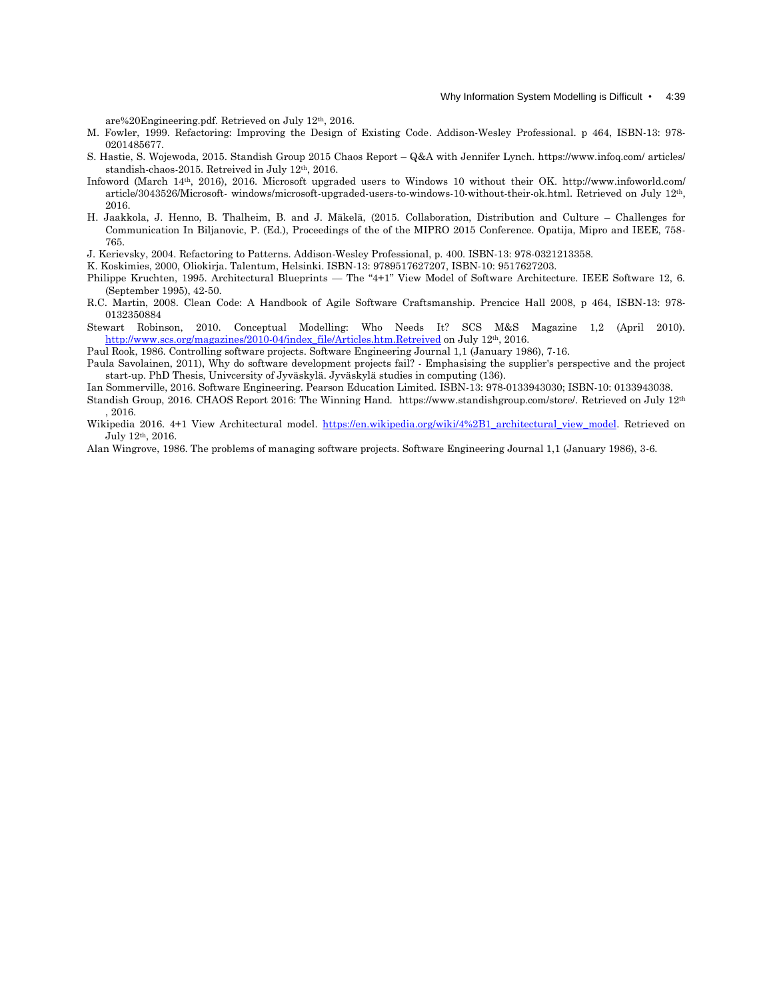are%20Engineering.pdf. Retrieved on July 12th, 2016.

- M. Fowler, 1999. Refactoring: Improving the Design of Existing Code. Addison-Wesley Professional. p 464, ISBN-13: 978- 0201485677.
- S. Hastie, S. Wojewoda, 2015. Standish Group 2015 Chaos Report Q&A with Jennifer Lynch. https://www.infoq.com/ articles/ standish-chaos-2015. Retreived in July 12th, 2016.
- Infoword (March 14th, 2016), 2016. Microsoft upgraded users to Windows 10 without their OK. http://www.infoworld.com/ article/3043526/Microsoft- windows/microsoft-upgraded-users-to-windows-10-without-their-ok.html. Retrieved on July 12th, 2016.
- H. Jaakkola, J. Henno, B. Thalheim, B. and J. Mäkelä, (2015. Collaboration, Distribution and Culture Challenges for Communication In Biljanovic, P. (Ed.), Proceedings of the of the MIPRO 2015 Conference. Opatija, Mipro and IEEE, 758- 765.
- J. Kerievsky, 2004. Refactoring to Patterns. Addison-Wesley Professional, p. 400. ISBN-13: 978-0321213358.
- K. Koskimies, 2000, Oliokirja. Talentum, Helsinki. ISBN-13: 9789517627207, ISBN-10: 9517627203.
- Philippe Kruchten, 1995. Architectural Blueprints The "4+1" View Model of Software Architecture. IEEE Software 12, 6. (September 1995), 42-50.
- R.C. Martin, 2008. Clean Code: A Handbook of Agile Software Craftsmanship. Prencice Hall 2008, p 464, ISBN-13: 978- 0132350884
- Stewart Robinson, 2010. Conceptual Modelling: Who Needs It? SCS M&S Magazine 1,2 (April 2010). [http://www.scs.org/magazines/2010-04/index\\_file/Articles.htm.Retreived](http://www.scs.org/magazines/2010-04/index_file/Articles.htm.Retreived) on July 12<sup>th</sup>, 2016.

Paul Rook, 1986. Controlling software projects. Software Engineering Journal 1,1 (January 1986), 7-16.

- Paula Savolainen, 2011), Why do software development projects fail? Emphasising the supplier's perspective and the project start-up. PhD Thesis, Univcersity of Jyväskylä. Jyväskylä studies in computing (136).
- Ian Sommerville, 2016. Software Engineering. Pearson Education Limited. ISBN-13: 978-0133943030; ISBN-10: 0133943038.
- Standish Group, 2016. CHAOS Report 2016: The Winning Hand. https://www.standishgroup.com/store/. Retrieved on July 12<sup>th</sup> , 2016.
- Wikipedia 2016. 4+1 View Architectural model. [https://en.wikipedia.org/wiki/4%2B1\\_architectural\\_view\\_model.](https://en.wikipedia.org/wiki/4%2B1_architectural_view_model) Retrieved on July 12th, 2016.
- Alan Wingrove, 1986. The problems of managing software projects. Software Engineering Journal 1,1 (January 1986), 3-6.